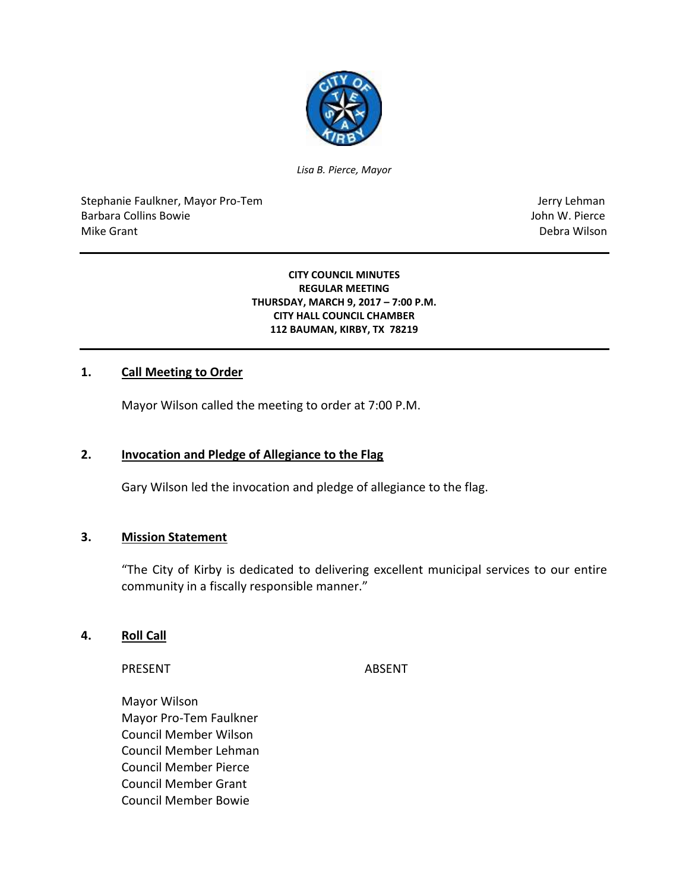

*Lisa B. Pierce, Mayor*

Stephanie Faulkner, Mayor Pro-Tem Jerry Lehman Jerry Lehman Barbara Collins Bowie John W. Pierce Mike Grant National Accounts of the United States of the United States of the United States of the Debra Wilson

#### **CITY COUNCIL MINUTES REGULAR MEETING THURSDAY, MARCH 9, 2017 – 7:00 P.M. CITY HALL COUNCIL CHAMBER 112 BAUMAN, KIRBY, TX 78219**

#### **1. Call Meeting to Order**

Mayor Wilson called the meeting to order at 7:00 P.M.

#### **2. Invocation and Pledge of Allegiance to the Flag**

Gary Wilson led the invocation and pledge of allegiance to the flag.

#### **3. Mission Statement**

"The City of Kirby is dedicated to delivering excellent municipal services to our entire community in a fiscally responsible manner."

#### **4. Roll Call**

PRESENT ABSENT

Mayor Wilson Mayor Pro-Tem Faulkner Council Member Wilson Council Member Lehman Council Member Pierce Council Member Grant Council Member Bowie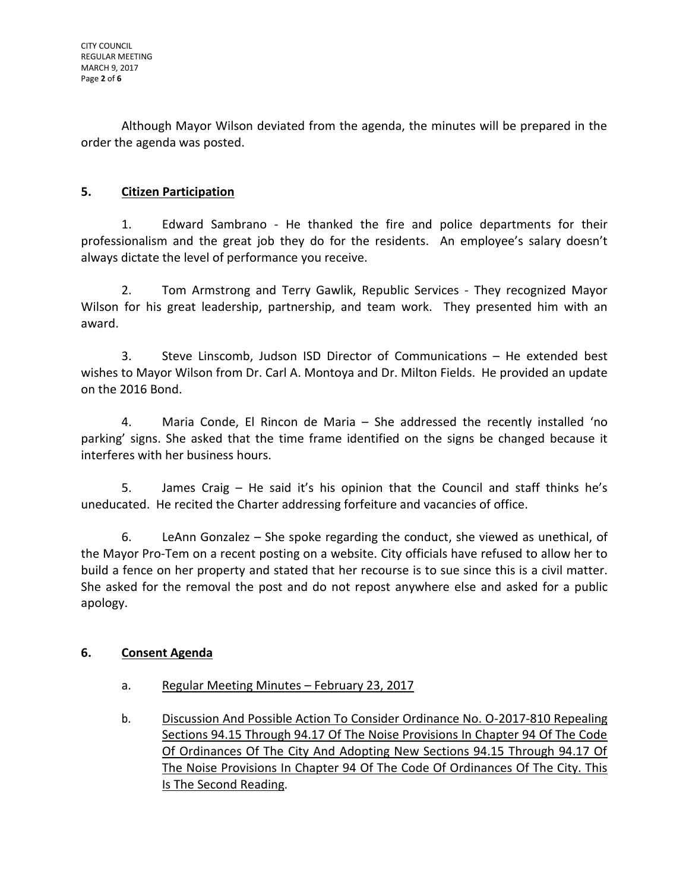Although Mayor Wilson deviated from the agenda, the minutes will be prepared in the order the agenda was posted.

# **5. Citizen Participation**

1. Edward Sambrano - He thanked the fire and police departments for their professionalism and the great job they do for the residents. An employee's salary doesn't always dictate the level of performance you receive.

2. Tom Armstrong and Terry Gawlik, Republic Services - They recognized Mayor Wilson for his great leadership, partnership, and team work. They presented him with an award.

3. Steve Linscomb, Judson ISD Director of Communications – He extended best wishes to Mayor Wilson from Dr. Carl A. Montoya and Dr. Milton Fields. He provided an update on the 2016 Bond.

4. Maria Conde, El Rincon de Maria – She addressed the recently installed 'no parking' signs. She asked that the time frame identified on the signs be changed because it interferes with her business hours.

5. James Craig – He said it's his opinion that the Council and staff thinks he's uneducated. He recited the Charter addressing forfeiture and vacancies of office.

6. LeAnn Gonzalez – She spoke regarding the conduct, she viewed as unethical, of the Mayor Pro-Tem on a recent posting on a website. City officials have refused to allow her to build a fence on her property and stated that her recourse is to sue since this is a civil matter. She asked for the removal the post and do not repost anywhere else and asked for a public apology.

# **6. Consent Agenda**

- a. Regular Meeting Minutes February 23, 2017
- b. Discussion And Possible Action To Consider Ordinance No. O-2017-810 Repealing Sections 94.15 Through 94.17 Of The Noise Provisions In Chapter 94 Of The Code Of Ordinances Of The City And Adopting New Sections 94.15 Through 94.17 Of The Noise Provisions In Chapter 94 Of The Code Of Ordinances Of The City. This Is The Second Reading.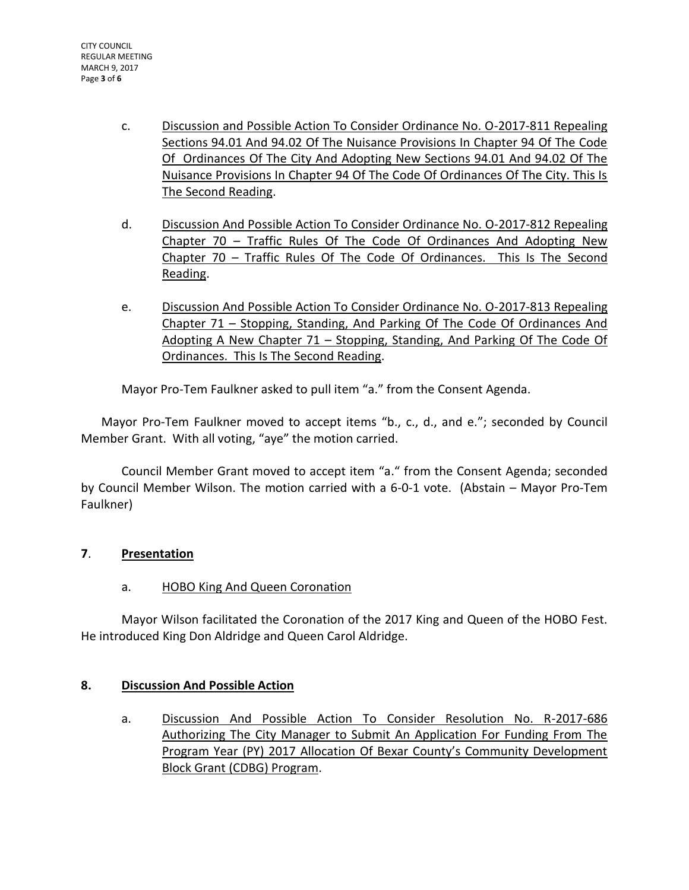- c. Discussion and Possible Action To Consider Ordinance No. O-2017-811 Repealing Sections 94.01 And 94.02 Of The Nuisance Provisions In Chapter 94 Of The Code Of Ordinances Of The City And Adopting New Sections 94.01 And 94.02 Of The Nuisance Provisions In Chapter 94 Of The Code Of Ordinances Of The City. This Is The Second Reading.
- d. Discussion And Possible Action To Consider Ordinance No. O-2017-812 Repealing Chapter 70 – Traffic Rules Of The Code Of Ordinances And Adopting New Chapter 70 – Traffic Rules Of The Code Of Ordinances. This Is The Second Reading.
- e. Discussion And Possible Action To Consider Ordinance No. O-2017-813 Repealing Chapter 71 – Stopping, Standing, And Parking Of The Code Of Ordinances And Adopting A New Chapter 71 – Stopping, Standing, And Parking Of The Code Of Ordinances. This Is The Second Reading.

Mayor Pro-Tem Faulkner asked to pull item "a." from the Consent Agenda.

Mayor Pro-Tem Faulkner moved to accept items "b., c., d., and e."; seconded by Council Member Grant. With all voting, "aye" the motion carried.

Council Member Grant moved to accept item "a." from the Consent Agenda; seconded by Council Member Wilson. The motion carried with a 6-0-1 vote. (Abstain – Mayor Pro-Tem Faulkner)

# **7**. **Presentation**

# a. HOBO King And Queen Coronation

Mayor Wilson facilitated the Coronation of the 2017 King and Queen of the HOBO Fest. He introduced King Don Aldridge and Queen Carol Aldridge.

# **8. Discussion And Possible Action**

a. Discussion And Possible Action To Consider Resolution No. R-2017-686 Authorizing The City Manager to Submit An Application For Funding From The Program Year (PY) 2017 Allocation Of Bexar County's Community Development Block Grant (CDBG) Program.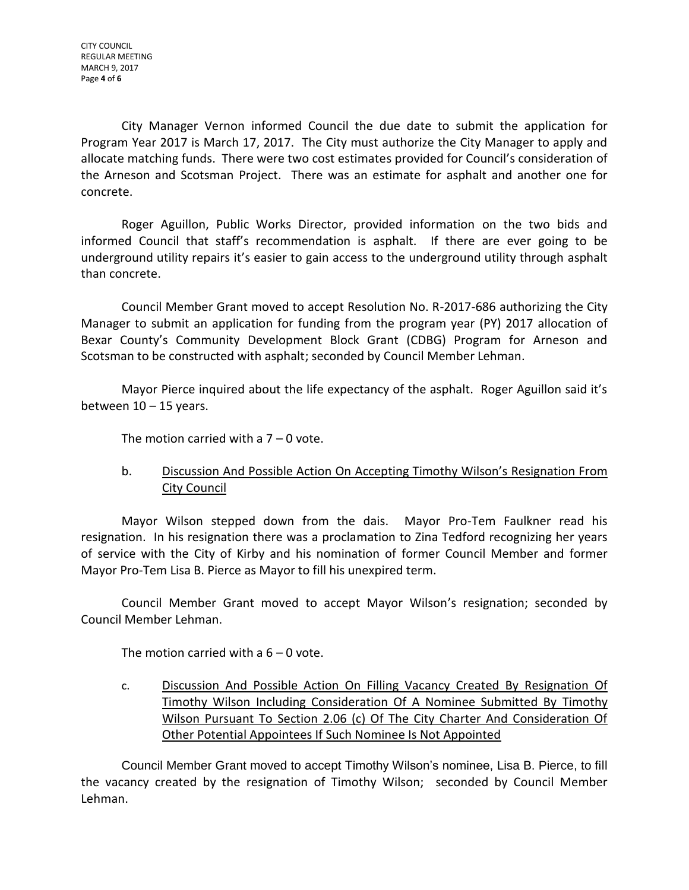City Manager Vernon informed Council the due date to submit the application for Program Year 2017 is March 17, 2017. The City must authorize the City Manager to apply and allocate matching funds. There were two cost estimates provided for Council's consideration of the Arneson and Scotsman Project. There was an estimate for asphalt and another one for concrete.

Roger Aguillon, Public Works Director, provided information on the two bids and informed Council that staff's recommendation is asphalt. If there are ever going to be underground utility repairs it's easier to gain access to the underground utility through asphalt than concrete.

Council Member Grant moved to accept Resolution No. R-2017-686 authorizing the City Manager to submit an application for funding from the program year (PY) 2017 allocation of Bexar County's Community Development Block Grant (CDBG) Program for Arneson and Scotsman to be constructed with asphalt; seconded by Council Member Lehman.

Mayor Pierce inquired about the life expectancy of the asphalt. Roger Aguillon said it's between  $10 - 15$  years.

The motion carried with a  $7 - 0$  vote.

# b. Discussion And Possible Action On Accepting Timothy Wilson's Resignation From **City Council**

Mayor Wilson stepped down from the dais. Mayor Pro-Tem Faulkner read his resignation. In his resignation there was a proclamation to Zina Tedford recognizing her years of service with the City of Kirby and his nomination of former Council Member and former Mayor Pro-Tem Lisa B. Pierce as Mayor to fill his unexpired term.

Council Member Grant moved to accept Mayor Wilson's resignation; seconded by Council Member Lehman.

The motion carried with a  $6 - 0$  vote.

c. Discussion And Possible Action On Filling Vacancy Created By Resignation Of Timothy Wilson Including Consideration Of A Nominee Submitted By Timothy Wilson Pursuant To Section 2.06 (c) Of The City Charter And Consideration Of Other Potential Appointees If Such Nominee Is Not Appointed

Council Member Grant moved to accept Timothy Wilson's nominee, Lisa B. Pierce, to fill the vacancy created by the resignation of Timothy Wilson; seconded by Council Member Lehman.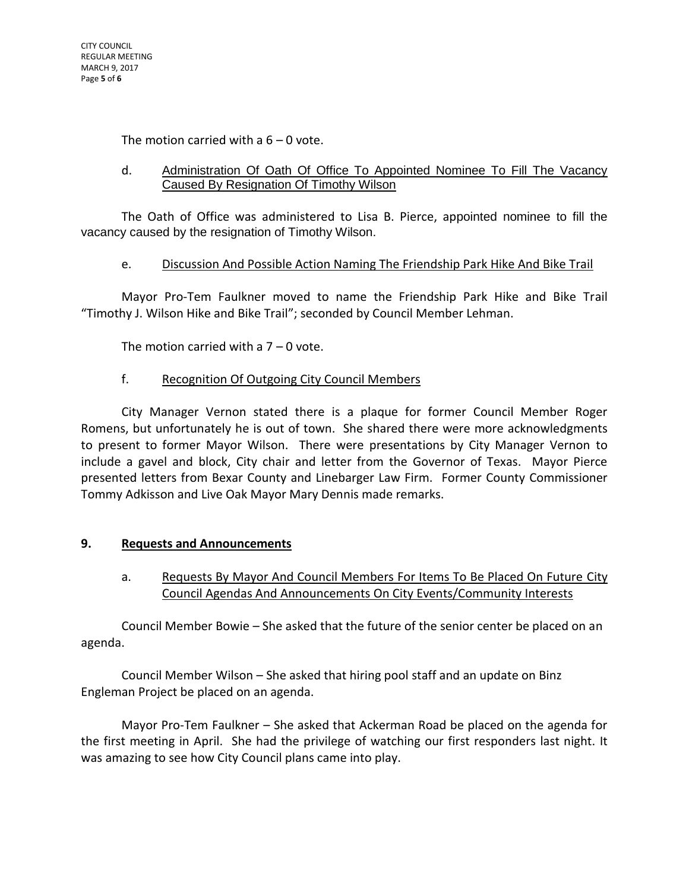The motion carried with a  $6 - 0$  vote.

#### d. Administration Of Oath Of Office To Appointed Nominee To Fill The Vacancy Caused By Resignation Of Timothy Wilson

The Oath of Office was administered to Lisa B. Pierce, appointed nominee to fill the vacancy caused by the resignation of Timothy Wilson.

#### e. Discussion And Possible Action Naming The Friendship Park Hike And Bike Trail

Mayor Pro-Tem Faulkner moved to name the Friendship Park Hike and Bike Trail "Timothy J. Wilson Hike and Bike Trail"; seconded by Council Member Lehman.

The motion carried with a  $7 - 0$  vote.

# f. Recognition Of Outgoing City Council Members

City Manager Vernon stated there is a plaque for former Council Member Roger Romens, but unfortunately he is out of town. She shared there were more acknowledgments to present to former Mayor Wilson. There were presentations by City Manager Vernon to include a gavel and block, City chair and letter from the Governor of Texas. Mayor Pierce presented letters from Bexar County and Linebarger Law Firm. Former County Commissioner Tommy Adkisson and Live Oak Mayor Mary Dennis made remarks.

# **9. Requests and Announcements**

a. Requests By Mayor And Council Members For Items To Be Placed On Future City Council Agendas And Announcements On City Events/Community Interests

Council Member Bowie – She asked that the future of the senior center be placed on an agenda.

Council Member Wilson – She asked that hiring pool staff and an update on Binz Engleman Project be placed on an agenda.

Mayor Pro-Tem Faulkner – She asked that Ackerman Road be placed on the agenda for the first meeting in April. She had the privilege of watching our first responders last night. It was amazing to see how City Council plans came into play.